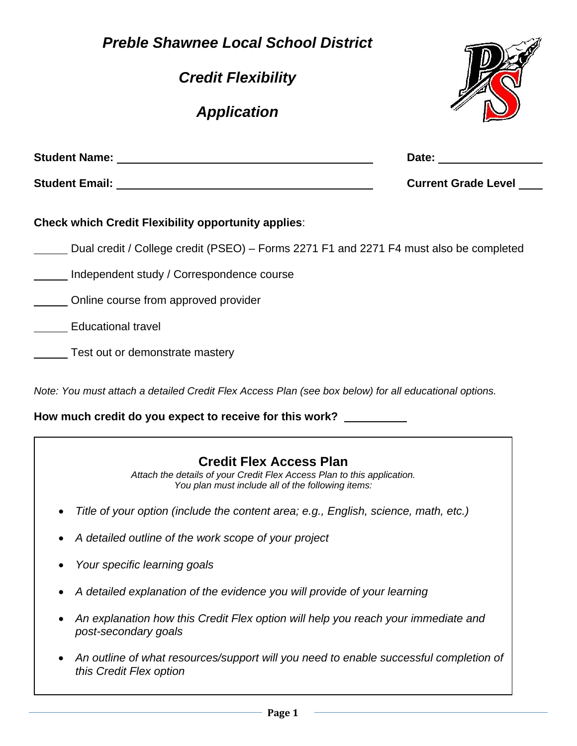**Page 1** – **Page 1** –

*Preble Shawnee Local School District* 

*Credit Flexibility* 

*Application* 

| Student Name: Annual Student Name: Annual Student Name:                                                                                                                                                                             | Date:                      |
|-------------------------------------------------------------------------------------------------------------------------------------------------------------------------------------------------------------------------------------|----------------------------|
| <b>Student Email:</b> All and the state of the state of the state of the state of the state of the state of the state of the state of the state of the state of the state of the state of the state of the state of the state of th | <b>Current Grade Level</b> |
| <b>Check which Credit Flexibility opportunity applies:</b>                                                                                                                                                                          |                            |
| Dual credit / College credit (PSEO) – Forms 2271 F1 and 2271 F4 must also be completed                                                                                                                                              |                            |
| Independent study / Correspondence course                                                                                                                                                                                           |                            |
| Online course from approved provider                                                                                                                                                                                                |                            |
| <b>Educational travel</b>                                                                                                                                                                                                           |                            |
| Test out or demonstrate mastery                                                                                                                                                                                                     |                            |

*Note: You must attach a detailed Credit Flex Access Plan (see box below) for all educational options.* 

**How much credit do you expect to receive for this work?** 

## **Credit Flex Access Plan**

*Attach the details of your Credit Flex Access Plan to this application. You plan must include all of the following items:* 

- *Title of your option (include the content area; e.g., English, science, math, etc.)*
- *A detailed outline of the work scope of your project*
- *Your specific learning goals*
- *A detailed explanation of the evidence you will provide of your learning*
- *An explanation how this Credit Flex option will help you reach your immediate and post-secondary goals*
- *An outline of what resources/support will you need to enable successful completion of this Credit Flex option*